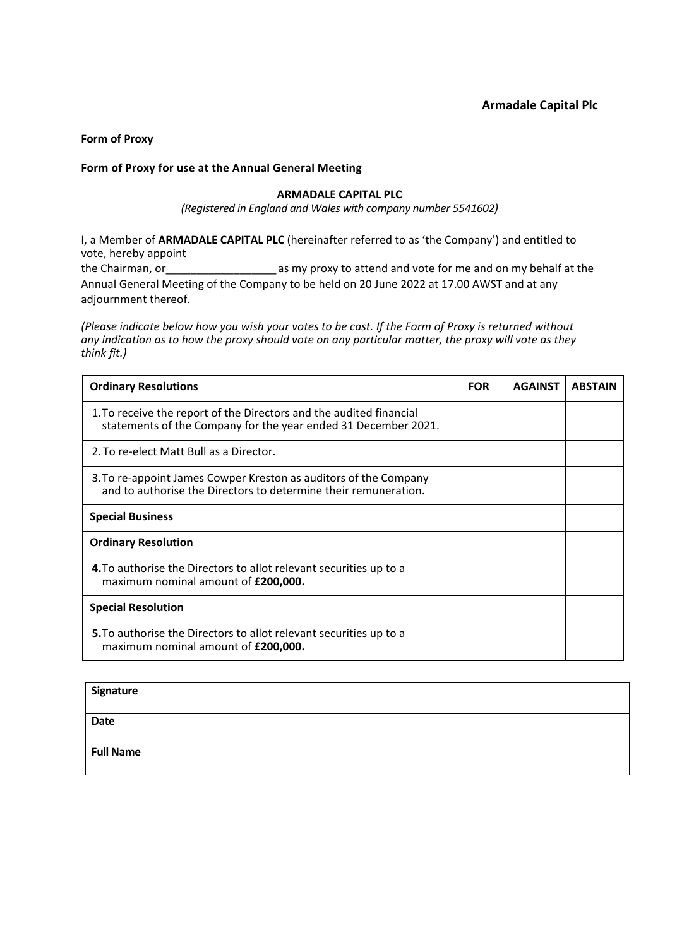### **Form of Proxy**

# **Form of Proxy for use at the Annual General Meeting**

## **ARMADALE CAPITAL PLC**

*(Registered in England and Wales with company number 5541602)*

I, a Member of **ARMADALE CAPITAL PLC** (hereinafter referred to as 'the Company') and entitled to vote, hereby appoint

the Chairman, or\_\_\_\_\_\_\_\_\_\_\_\_\_\_\_\_\_\_ as my proxy to attend and vote for me and on my behalf at the Annual General Meeting of the Company to be held on 20 June 2022 at 17.00 AWST and at any adjournment thereof.

*(Please indicate below how you wish your votes to be cast. If the Form of Proxy is returned without any indication as to how the proxy should vote on any particular matter, the proxy will vote as they think fit.)*

| <b>Ordinary Resolutions</b>                                                                                                           | <b>FOR</b> | <b>AGAINST</b> | <b>ABSTAIN</b> |
|---------------------------------------------------------------------------------------------------------------------------------------|------------|----------------|----------------|
| 1. To receive the report of the Directors and the audited financial<br>statements of the Company for the year ended 31 December 2021. |            |                |                |
| 2. To re-elect Matt Bull as a Director.                                                                                               |            |                |                |
| 3. To re-appoint James Cowper Kreston as auditors of the Company<br>and to authorise the Directors to determine their remuneration.   |            |                |                |
| <b>Special Business</b>                                                                                                               |            |                |                |
| <b>Ordinary Resolution</b>                                                                                                            |            |                |                |
| 4. To authorise the Directors to allot relevant securities up to a<br>maximum nominal amount of £200,000.                             |            |                |                |
| <b>Special Resolution</b>                                                                                                             |            |                |                |
| <b>5.</b> To authorise the Directors to allot relevant securities up to a<br>maximum nominal amount of £200,000.                      |            |                |                |

| <b>Signature</b> |  |
|------------------|--|
| <b>Date</b>      |  |
| <b>Full Name</b> |  |